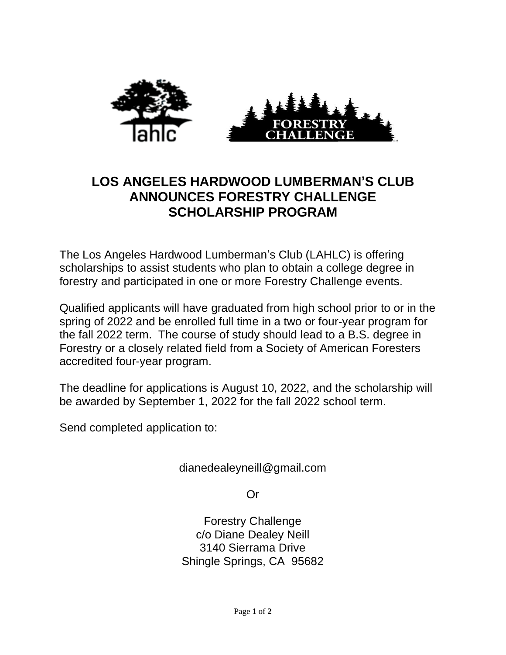

## **LOS ANGELES HARDWOOD LUMBERMAN'S CLUB ANNOUNCES FORESTRY CHALLENGE SCHOLARSHIP PROGRAM**

The Los Angeles Hardwood Lumberman's Club (LAHLC) is offering scholarships to assist students who plan to obtain a college degree in forestry and participated in one or more Forestry Challenge events.

Qualified applicants will have graduated from high school prior to or in the spring of 2022 and be enrolled full time in a two or four-year program for the fall 2022 term. The course of study should lead to a B.S. degree in Forestry or a closely related field from a Society of American Foresters accredited four-year program.

The deadline for applications is August 10, 2022, and the scholarship will be awarded by September 1, 2022 for the fall 2022 school term.

Send completed application to:

dianedealeyneill@gmail.com

Or

Forestry Challenge c/o Diane Dealey Neill 3140 Sierrama Drive Shingle Springs, CA 95682